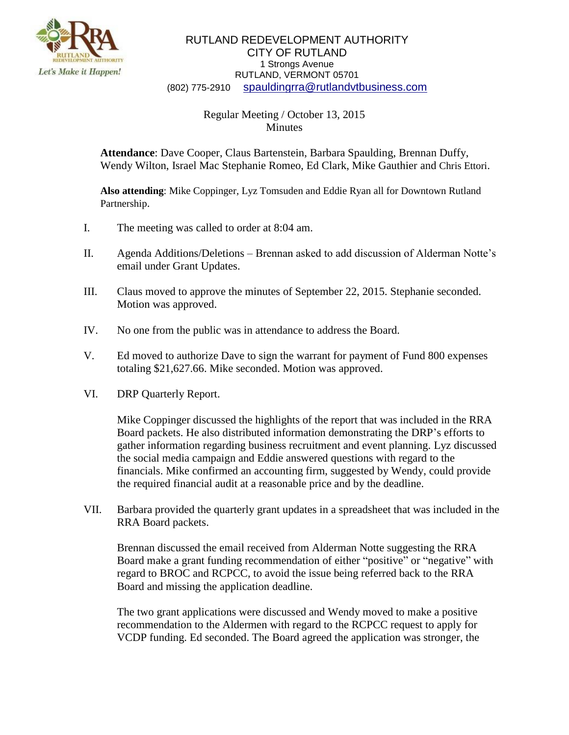

## RUTLAND REDEVELOPMENT AUTHORITY CITY OF RUTLAND 1 Strongs Avenue RUTLAND, VERMONT 05701 (802) 775-2910 [spauldingrra@rutlandvtbusiness.com](mailto:allenrra@rutlandvtbusiness.com)

## Regular Meeting / October 13, 2015 **Minutes**

**Attendance**: Dave Cooper, Claus Bartenstein, Barbara Spaulding, Brennan Duffy, Wendy Wilton, Israel Mac Stephanie Romeo, Ed Clark, Mike Gauthier and Chris Ettori.

**Also attending**: Mike Coppinger, Lyz Tomsuden and Eddie Ryan all for Downtown Rutland Partnership.

- I. The meeting was called to order at 8:04 am.
- II. Agenda Additions/Deletions Brennan asked to add discussion of Alderman Notte's email under Grant Updates.
- III. Claus moved to approve the minutes of September 22, 2015. Stephanie seconded. Motion was approved.
- IV. No one from the public was in attendance to address the Board.
- V. Ed moved to authorize Dave to sign the warrant for payment of Fund 800 expenses totaling \$21,627.66. Mike seconded. Motion was approved.
- VI. DRP Quarterly Report.

Mike Coppinger discussed the highlights of the report that was included in the RRA Board packets. He also distributed information demonstrating the DRP's efforts to gather information regarding business recruitment and event planning. Lyz discussed the social media campaign and Eddie answered questions with regard to the financials. Mike confirmed an accounting firm, suggested by Wendy, could provide the required financial audit at a reasonable price and by the deadline.

VII. Barbara provided the quarterly grant updates in a spreadsheet that was included in the RRA Board packets.

Brennan discussed the email received from Alderman Notte suggesting the RRA Board make a grant funding recommendation of either "positive" or "negative" with regard to BROC and RCPCC, to avoid the issue being referred back to the RRA Board and missing the application deadline.

The two grant applications were discussed and Wendy moved to make a positive recommendation to the Aldermen with regard to the RCPCC request to apply for VCDP funding. Ed seconded. The Board agreed the application was stronger, the